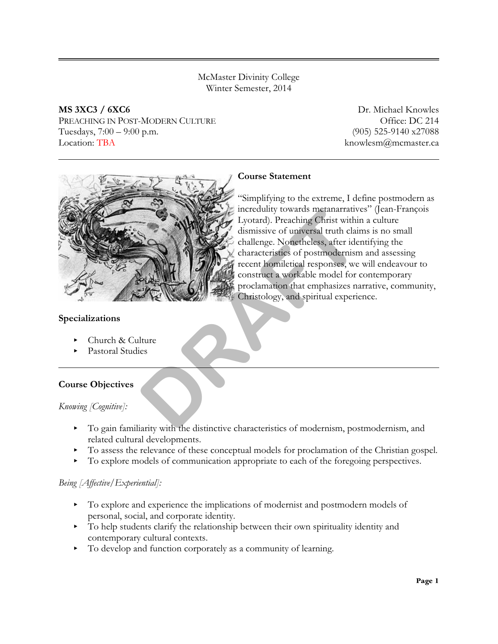McMaster Divinity College Winter Semester, 2014

**MS 3XC3 / 6XC6** Dr. Michael Knowles PREACHING IN POST-MODERN CULTURE **Example 2014** Office: DC 214 Tuesdays, 7:00 – 9:00 p.m. (905) 525-9140 x27088 Location: TBA knowlesm@mcmaster.ca



# **Course Statement**

"Simplifying to the extreme, I define postmodern as incredulity towards metanarratives" (Jean-François Lyotard). Preaching Christ within a culture dismissive of universal truth claims is no small challenge. Nonetheless, after identifying the characteristics of postmodernism and assessing recent homiletical responses, we will endeavour to construct a workable model for contemporary proclamation that emphasizes narrative, community, Christology, and spiritual experience. and the distinctive characteristics of modernism positive virtue distinctive characteristics of positive stress and the characteristics of positive construct a workable model for construct a workable model for construct a

### **Specializations**

- Church & Culture
- < Pastoral Studies

# **Course Objectives**

#### *Knowing [Cognitive]:*

- < To gain familiarity with the distinctive characteristics of modernism, postmodernism, and related cultural developments.
- $\triangleright$  To assess the relevance of these conceptual models for proclamation of the Christian gospel.
- < To explore models of communication appropriate to each of the foregoing perspectives.

#### *Being [Affective/Experiential]:*

- To explore and experience the implications of modernist and postmodern models of personal, social, and corporate identity.
- < To help students clarify the relationship between their own spirituality identity and contemporary cultural contexts.
- < To develop and function corporately as a community of learning.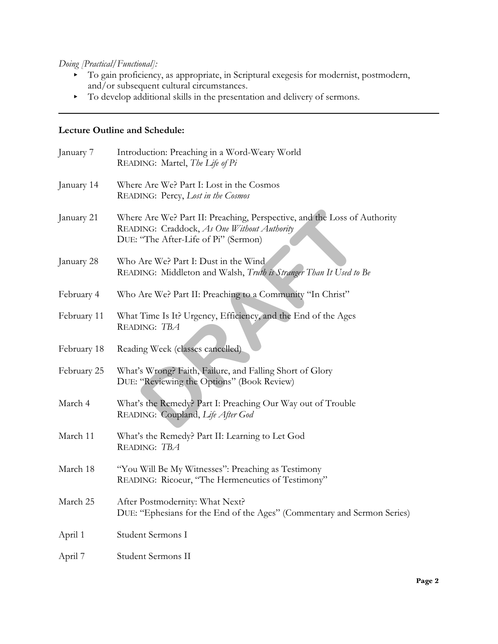*Doing [Practical/Functional]:*

- < To gain proficiency, as appropriate, in Scriptural exegesis for modernist, postmodern, and/or subsequent cultural circumstances.
- < To develop additional skills in the presentation and delivery of sermons.

#### **Lecture Outline and Schedule:**

| January 7   | Introduction: Preaching in a Word-Weary World<br>READING: Martel, The Life of Pi                                                                                |
|-------------|-----------------------------------------------------------------------------------------------------------------------------------------------------------------|
| January 14  | Where Are We? Part I: Lost in the Cosmos<br>READING: Percy, Lost in the Cosmos                                                                                  |
| January 21  | Where Are We? Part II: Preaching, Perspective, and the Loss of Authority<br>READING: Craddock, As One Without Authority<br>DUE: "The After-Life of Pi" (Sermon) |
| January 28  | Who Are We? Part I: Dust in the Wind<br>READING: Middleton and Walsh, Truth is Stranger Than It Used to Be                                                      |
| February 4  | Who Are We? Part II: Preaching to a Community "In Christ"                                                                                                       |
| February 11 | What Time Is It? Urgency, Efficiency, and the End of the Ages<br>READING: TBA                                                                                   |
| February 18 | Reading Week (classes cancelled)                                                                                                                                |
| February 25 | What's Wrong? Faith, Failure, and Falling Short of Glory<br>DUE: "Reviewing the Options" (Book Review)                                                          |
| March 4     | What's the Remedy? Part I: Preaching Our Way out of Trouble<br>READING: Coupland, Life After God                                                                |
| March 11    | What's the Remedy? Part II: Learning to Let God<br>READING: TBA                                                                                                 |
| March 18    | "You Will Be My Witnesses": Preaching as Testimony<br>READING: Ricoeur, "The Hermeneutics of Testimony"                                                         |
| March 25    | After Postmodernity: What Next?<br>DUE: "Ephesians for the End of the Ages" (Commentary and Sermon Series)                                                      |
| April 1     | Student Sermons I                                                                                                                                               |
| April 7     | Student Sermons II                                                                                                                                              |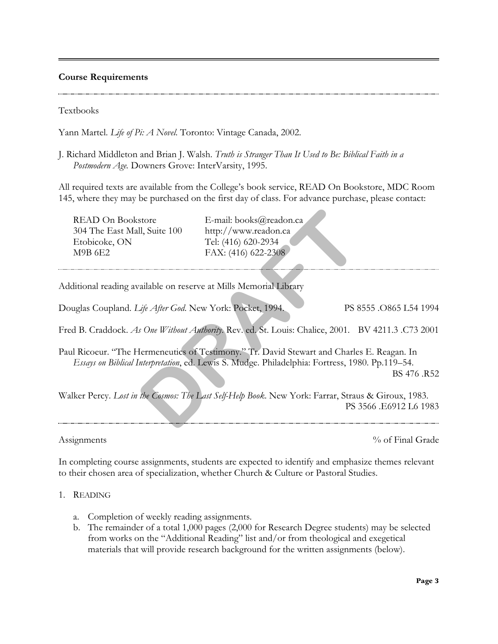#### **Course Requirements**

Textbooks

Yann Martel. *Life of Pi: A Novel*. Toronto: Vintage Canada, 2002.

J. Richard Middleton and Brian J. Walsh. *Truth is Stranger Than It Used to Be: Biblical Faith in a Postmodern Age.* Downers Grove: InterVarsity, 1995.

All required texts are available from the College's book service, READ On Bookstore, MDC Room 145, where they may be purchased on the first day of class. For advance purchase, please contact:

READ On Bookstore E-mail: books@readon.ca 304 The East Mall, Suite 100 http://www.readon.ca Etobicoke, ON Tel: (416) 620-2934 M9B 6E2 FAX: (416) 622-2308

Additional reading available on reserve at Mills Memorial Library

Douglas Coupland. *Life After God*. New York: Pocket, 1994. PS 8555 .O865 L54 1994

Fred B. Craddock. *As One Without Authority*. Rev. ed. St. Louis: Chalice, 2001. BV 4211.3 .C73 2001

Paul Ricoeur. "The Hermeneutics of Testimony." Tr. David Stewart and Charles E. Reagan. In *Essays on Biblical Interpretation*, ed. Lewis S. Mudge. Philadelphia: Fortress, 1980. Pp.119–54. store E-mail: books@readon.ca<br>
Il, Suite 100 http://www.readon.ca<br>
Tel: (416) 620-2934<br>
FAX: (416) 622-2308<br>
ailable on reserve at Mills Memorial Library<br> *DRAFR* Cod. New York: Pocket, 1994.<br> *DRAFR* Cod. New York: Pocket

BS 476 .R52

Walker Percy. *Lost in the Cosmos: The Last Self-Help Book*. New York: Farrar, Straus & Giroux, 1983. PS 3566 .E6912 L6 1983

Assignments  $\%$  of Final Grade

In completing course assignments, students are expected to identify and emphasize themes relevant to their chosen area of specialization, whether Church & Culture or Pastoral Studies.

- 1. READING
	- a. Completion of weekly reading assignments.
	- b. The remainder of a total 1,000 pages (2,000 for Research Degree students) may be selected from works on the "Additional Reading" list and/or from theological and exegetical materials that will provide research background for the written assignments (below).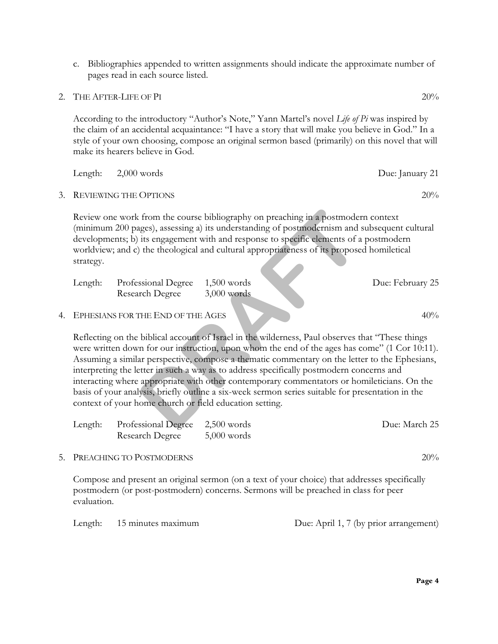c. Bibliographies appended to written assignments should indicate the approximate number of pages read in each source listed.

2. THE AFTER-LIFE OF PI 20%

According to the introductory "Author's Note," Yann Martel's novel *Life of Pi* was inspired by the claim of an accidental acquaintance: "I have a story that will make you believe in God." In a style of your own choosing, compose an original sermon based (primarily) on this novel that will make its hearers believe in God.

|    | Length:                                                                                                                                                                                                                                                                                                                                                                                                                                                                                                                                                                                                                                                       | $2,000$ words                          |                                | Due: January 21  |  |  |  |
|----|---------------------------------------------------------------------------------------------------------------------------------------------------------------------------------------------------------------------------------------------------------------------------------------------------------------------------------------------------------------------------------------------------------------------------------------------------------------------------------------------------------------------------------------------------------------------------------------------------------------------------------------------------------------|----------------------------------------|--------------------------------|------------------|--|--|--|
| 3. |                                                                                                                                                                                                                                                                                                                                                                                                                                                                                                                                                                                                                                                               | <b>REVIEWING THE OPTIONS</b>           |                                | 20%              |  |  |  |
|    | Review one work from the course bibliography on preaching in a postmodern context<br>(minimum 200 pages), assessing a) its understanding of postmodernism and subsequent cultural<br>developments; b) its engagement with and response to specific elements of a postmodern<br>worldview; and c) the theological and cultural appropriateness of its proposed homiletical<br>strategy.                                                                                                                                                                                                                                                                        |                                        |                                |                  |  |  |  |
|    | Length:                                                                                                                                                                                                                                                                                                                                                                                                                                                                                                                                                                                                                                                       | Professional Degree<br>Research Degree | $1,500$ words<br>$3,000$ words | Due: February 25 |  |  |  |
| 4. |                                                                                                                                                                                                                                                                                                                                                                                                                                                                                                                                                                                                                                                               | EPHESIANS FOR THE END OF THE AGES      |                                | 40%              |  |  |  |
|    | Reflecting on the biblical account of Israel in the wilderness, Paul observes that "These things<br>were written down for our instruction, upon whom the end of the ages has come" (1 Cor 10:11).<br>Assuming a similar perspective, compose a thematic commentary on the letter to the Ephesians,<br>interpreting the letter in such a way as to address specifically postmodern concerns and<br>interacting where appropriate with other contemporary commentators or homileticians. On the<br>basis of your analysis, briefly outline a six-week sermon series suitable for presentation in the<br>context of your home church or field education setting. |                                        |                                |                  |  |  |  |
|    | Length:                                                                                                                                                                                                                                                                                                                                                                                                                                                                                                                                                                                                                                                       | Professional Degree<br>Research Degree | $2,500$ words<br>$5,000$ words | Due: March 25    |  |  |  |
|    |                                                                                                                                                                                                                                                                                                                                                                                                                                                                                                                                                                                                                                                               |                                        |                                |                  |  |  |  |

5. PREACHING TO POSTMODERNS 20%

Compose and present an original sermon (on a text of your choice) that addresses specifically postmodern (or post-postmodern) concerns. Sermons will be preached in class for peer evaluation.

Length: 15 minutes maximum Due: April 1, 7 (by prior arrangement)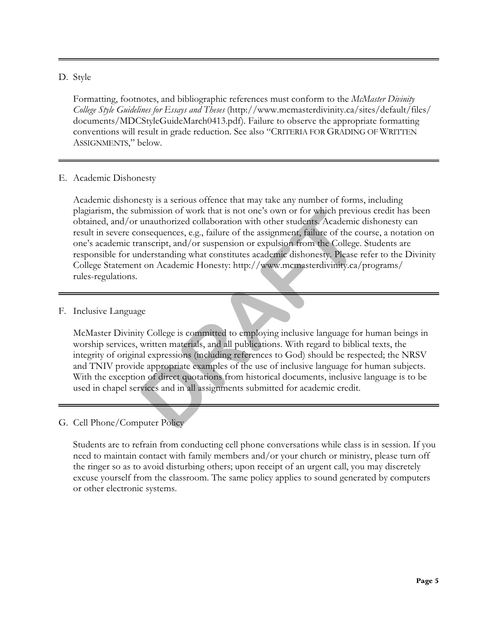### D. Style

Formatting, footnotes, and bibliographic references must conform to the *McMaster Divinity College Style Guidelines for Essays and Theses* (http://www.mcmasterdivinity.ca/sites/default/files/ documents/MDCStyleGuideMarch0413.pdf). Failure to observe the appropriate formatting conventions will result in grade reduction. See also "CRITERIA FOR GRADING OF WRITTEN ASSIGNMENTS," below.

#### E. Academic Dishonesty

Academic dishonesty is a serious offence that may take any number of forms, including plagiarism, the submission of work that is not one's own or for which previous credit has been obtained, and/or unauthorized collaboration with other students. Academic dishonesty can result in severe consequences, e.g., failure of the assignment, failure of the course, a notation on one's academic transcript, and/or suspension or expulsion from the College. Students are responsible for understanding what constitutes academic dishonesty. Please refer to the Divinity College Statement on Academic Honesty: http://www.mcmasterdivinity.ca/programs/ rules-regulations. bmission of work that is not one's own or for which previo<br>
unauthorized collaboration with other students. Academic<br>
onsequences, e.g., failure of the assignment, failure of the co<br>
anscript, and/or suspension or expulsio

# F. Inclusive Language

McMaster Divinity College is committed to employing inclusive language for human beings in worship services, written materials, and all publications. With regard to biblical texts, the integrity of original expressions (including references to God) should be respected; the NRSV and TNIV provide appropriate examples of the use of inclusive language for human subjects. With the exception of direct quotations from historical documents, inclusive language is to be used in chapel services and in all assignments submitted for academic credit.

# G. Cell Phone/Computer Policy

Students are to refrain from conducting cell phone conversations while class is in session. If you need to maintain contact with family members and/or your church or ministry, please turn off the ringer so as to avoid disturbing others; upon receipt of an urgent call, you may discretely excuse yourself from the classroom. The same policy applies to sound generated by computers or other electronic systems.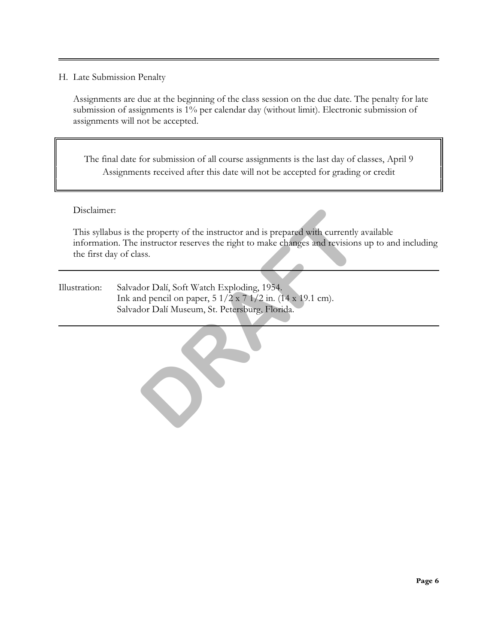#### H. Late Submission Penalty

Assignments are due at the beginning of the class session on the due date. The penalty for late submission of assignments is 1% per calendar day (without limit). Electronic submission of assignments will not be accepted.

The final date for submission of all course assignments is the last day of classes, April 9 Assignments received after this date will not be accepted for grading or credit

Disclaimer:

This syllabus is the property of the instructor and is prepared with currently available information. The instructor reserves the right to make changes and revisions up to and including the first day of class. ne property of the instructor and is prepared with currently instructor reserves the right to make changes and revisions<br>
ass.<br> **DRAFT**<br> **DRAFT**<br> **DRAFT**<br> **DRAFT**<br> **DRAFT**<br> **DRAFT**<br> **DRAFT**<br> **DRAFT**<br> **DRAFT**<br> **DRAFT**<br> **DRA** 

Illustration: Salvador Dalí, Soft Watch Exploding, 1954. Ink and pencil on paper, 5 1/2 x 7 1/2 in. (14 x 19.1 cm). Salvador Dalí Museum, St. Petersburg, Florida.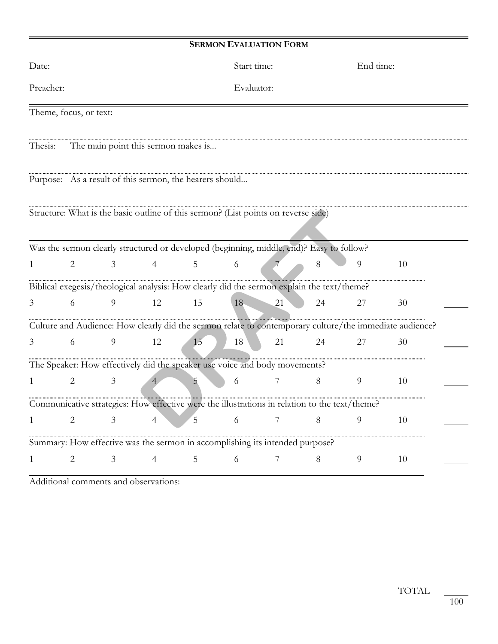# **SERMON EVALUATION FORM**

| Date:                          |                                                                                               |                |    | Start time: |                |    | End time:      |                                                                                                         |  |
|--------------------------------|-----------------------------------------------------------------------------------------------|----------------|----|-------------|----------------|----|----------------|---------------------------------------------------------------------------------------------------------|--|
| Preacher:                      |                                                                                               |                |    |             | Evaluator:     |    |                |                                                                                                         |  |
| Theme, focus, or text:         |                                                                                               |                |    |             |                |    |                |                                                                                                         |  |
| Thesis:                        | The main point this sermon makes is                                                           |                |    |             |                |    |                |                                                                                                         |  |
|                                | Purpose: As a result of this sermon, the hearers should                                       |                |    |             |                |    |                |                                                                                                         |  |
|                                | Structure: What is the basic outline of this sermon? (List points on reverse side)            |                |    |             |                |    |                |                                                                                                         |  |
|                                | Was the sermon clearly structured or developed (beginning, middle, end)? Easy to follow?      |                |    |             |                |    |                |                                                                                                         |  |
| $\overline{2}$<br>1            | 3                                                                                             | $\overline{4}$ | 5  | 6           |                | 8  | 9              | 10                                                                                                      |  |
|                                | Biblical exegesis/theological analysis: How clearly did the sermon explain the text/theme?    |                |    |             |                |    |                |                                                                                                         |  |
| 6<br>3                         | 9                                                                                             | 12             | 15 | 18          | 21             | 24 | 27             | 30                                                                                                      |  |
|                                |                                                                                               |                |    |             |                |    |                | Culture and Audience: How clearly did the sermon relate to contemporary culture/the immediate audience? |  |
| 6<br>3                         | 9                                                                                             | 12             | 15 | 18          | 21             | 24 | 27             | 30                                                                                                      |  |
|                                | The Speaker: How effectively did the speaker use voice and body movements?                    |                |    |             |                |    |                |                                                                                                         |  |
| $\overline{2}$<br>$\mathbf{1}$ | 3                                                                                             |                | 5  | 6           | 7              | 8  | 9              | 10                                                                                                      |  |
|                                | Communicative strategies: How effective were the illustrations in relation to the text/theme? |                |    |             |                |    |                |                                                                                                         |  |
| $\overline{2}$<br>1            | 3                                                                                             | $\overline{4}$ | 5  | 6           | $\overline{7}$ | 8  | $\overline{9}$ | 10                                                                                                      |  |
|                                | Summary: How effective was the sermon in accomplishing its intended purpose?                  |                |    |             |                |    |                |                                                                                                         |  |
| 2<br>1                         | 3                                                                                             | $\overline{4}$ | 5  | 6           | 7              | 8  | 9              | 10                                                                                                      |  |

Additional comments and observations: